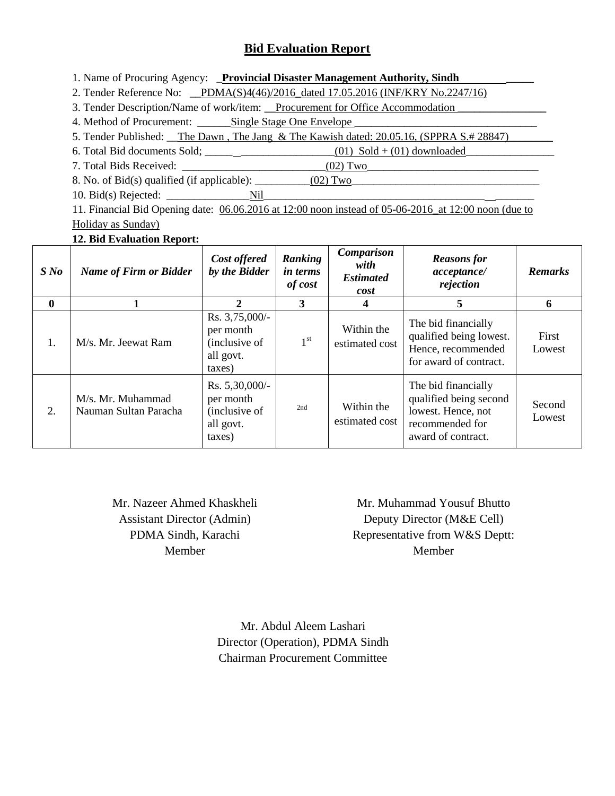# **Bid Evaluation Report**

1. Name of Procuring Agency: **\_Provincial Disaster Management Authority, Sindh** 

2. Tender Reference No: PDMA(S)4(46)/2016 dated 17.05.2016 (INF/KRY No.2247/16)

3. Tender Description/Name of work/item: <u>Procurement for Office Accommodation</u>

4. Method of Procurement: \_\_\_\_\_\_Single Stage One Envelope \_\_\_\_\_\_\_\_\_\_\_\_\_\_\_\_\_\_\_\_\_\_\_\_\_\_\_\_\_\_\_\_\_

5. Tender Published: The Dawn, The Jang & The Kawish dated: 20.05.16, (SPPRA S.# 28847)

6. Total Bid documents Sold;  $(01)$  Sold +  $(01)$  downloaded

7. Total Bids Received: \_\_\_\_\_\_\_\_\_\_\_\_\_\_\_\_\_\_\_\_\_\_\_\_\_\_(02) Two\_\_\_\_\_\_\_\_\_\_\_\_\_\_\_\_\_\_\_\_\_\_\_\_\_\_\_\_\_\_\_

8. No. of Bid(s) qualified (if applicable):  $\_\_\_\_\_ (02) \,\mathrm{Two}$ 

10. Bid(s) Rejected: \_\_\_\_\_\_\_\_\_\_\_\_\_\_\_Nil\_\_\_\_\_\_\_\_\_\_\_\_\_\_\_\_\_\_\_\_\_\_\_\_\_\_\_\_\_\_\_\_\_\_\_\_\_\_\_\_ \_\_\_\_\_\_\_

11. Financial Bid Opening date: 06.06.2016 at 12:00 noon instead of 05-06-2016\_at 12:00 noon (due to Holiday as Sunday)

## **12. Bid Evaluation Report:**

| S N o        | <b>Name of Firm or Bidder</b>              | Cost offered<br>by the Bidder                                          | Ranking<br><i>in terms</i><br>of cost | <b>Comparison</b><br>with<br><b>Estimated</b><br>cost | <b>Reasons</b> for<br>acceptance/<br>rejection                                                               | <b>Remarks</b>   |
|--------------|--------------------------------------------|------------------------------------------------------------------------|---------------------------------------|-------------------------------------------------------|--------------------------------------------------------------------------------------------------------------|------------------|
| $\mathbf{0}$ |                                            | $\mathcal{D}_{\cdot}$                                                  | 3                                     |                                                       | 5                                                                                                            | 6                |
| 1.           | M/s. Mr. Jeewat Ram                        | Rs. 3,75,000/-<br>per month<br>(inclusive of<br>all govt.<br>taxes)    | 1 <sup>st</sup>                       | Within the<br>estimated cost                          | The bid financially<br>qualified being lowest.<br>Hence, recommended<br>for award of contract.               | First<br>Lowest  |
| 2.           | M/s. Mr. Muhammad<br>Nauman Sultan Paracha | Rs. $5,30,000/$ -<br>per month<br>(inclusive of<br>all govt.<br>taxes) | 2nd                                   | Within the<br>estimated cost                          | The bid financially<br>qualified being second<br>lowest. Hence, not<br>recommended for<br>award of contract. | Second<br>Lowest |

Mr. Nazeer Ahmed Khaskheli Assistant Director (Admin) PDMA Sindh, Karachi Member

Mr. Muhammad Yousuf Bhutto Deputy Director (M&E Cell) Representative from W&S Deptt: Member

Mr. Abdul Aleem Lashari Director (Operation), PDMA Sindh Chairman Procurement Committee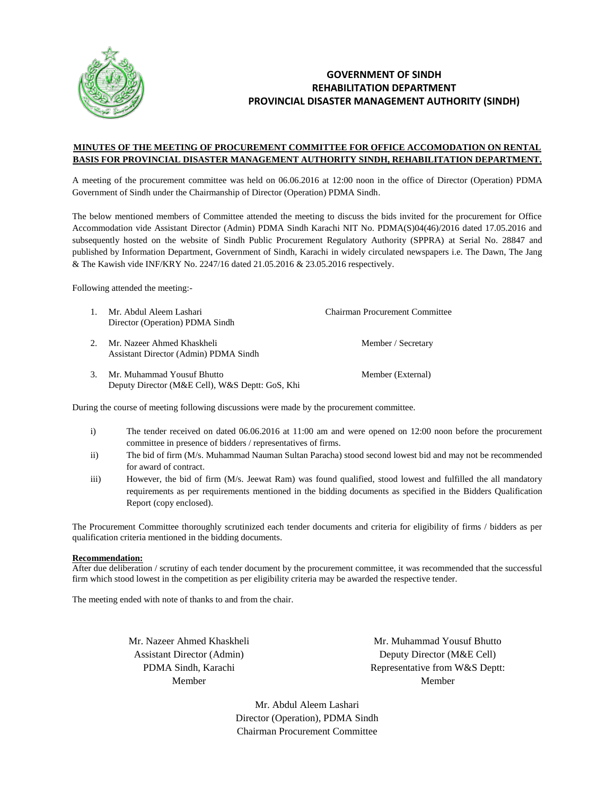

### **GOVERNMENT OF SINDH REHABILITATION DEPARTMENT PROVINCIAL DISASTER MANAGEMENT AUTHORITY (SINDH)**

#### **MINUTES OF THE MEETING OF PROCUREMENT COMMITTEE FOR OFFICE ACCOMODATION ON RENTAL BASIS FOR PROVINCIAL DISASTER MANAGEMENT AUTHORITY SINDH, REHABILITATION DEPARTMENT.**

A meeting of the procurement committee was held on 06.06.2016 at 12:00 noon in the office of Director (Operation) PDMA Government of Sindh under the Chairmanship of Director (Operation) PDMA Sindh.

The below mentioned members of Committee attended the meeting to discuss the bids invited for the procurement for Office Accommodation vide Assistant Director (Admin) PDMA Sindh Karachi NIT No. PDMA(S)04(46)/2016 dated 17.05.2016 and subsequently hosted on the website of Sindh Public Procurement Regulatory Authority (SPPRA) at Serial No. 28847 and published by Information Department, Government of Sindh, Karachi in widely circulated newspapers i.e. The Dawn, The Jang & The Kawish vide INF/KRY No. 2247/16 dated 21.05.2016 & 23.05.2016 respectively.

Following attended the meeting:-

|    | Mr. Abdul Aleem Lashari<br>Director (Operation) PDMA Sindh                    | Chairman Procurement Committee |
|----|-------------------------------------------------------------------------------|--------------------------------|
|    | Mr. Nazeer Ahmed Khaskheli<br>Assistant Director (Admin) PDMA Sindh           | Member / Secretary             |
| 3. | Mr. Muhammad Yousuf Bhutto<br>Deputy Director (M&E Cell), W&S Deptt: GoS, Khi | Member (External)              |

During the course of meeting following discussions were made by the procurement committee.

- i) The tender received on dated 06.06.2016 at 11:00 am and were opened on 12:00 noon before the procurement committee in presence of bidders / representatives of firms.
- ii) The bid of firm (M/s. Muhammad Nauman Sultan Paracha) stood second lowest bid and may not be recommended for award of contract.
- iii) However, the bid of firm (M/s. Jeewat Ram) was found qualified, stood lowest and fulfilled the all mandatory requirements as per requirements mentioned in the bidding documents as specified in the Bidders Qualification Report (copy enclosed).

The Procurement Committee thoroughly scrutinized each tender documents and criteria for eligibility of firms / bidders as per qualification criteria mentioned in the bidding documents.

#### **Recommendation:**

After due deliberation / scrutiny of each tender document by the procurement committee, it was recommended that the successful firm which stood lowest in the competition as per eligibility criteria may be awarded the respective tender.

The meeting ended with note of thanks to and from the chair.

Mr. Nazeer Ahmed Khaskheli Assistant Director (Admin) PDMA Sindh, Karachi Member

Mr. Muhammad Yousuf Bhutto Deputy Director (M&E Cell) Representative from W&S Deptt: Member

Mr. Abdul Aleem Lashari Director (Operation), PDMA Sindh Chairman Procurement Committee